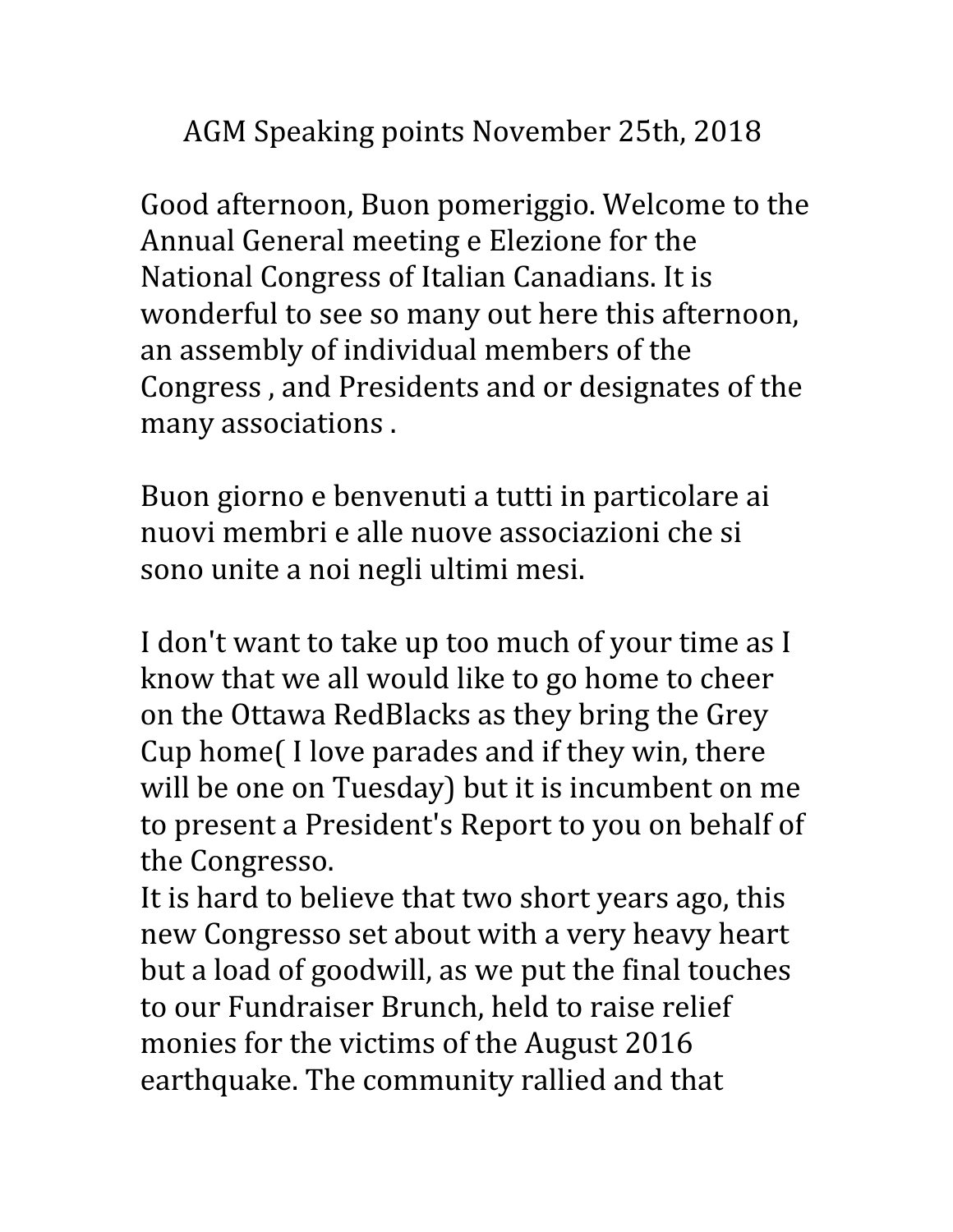AGM Speaking points November 25th, 2018

Good afternoon, Buon pomeriggio. Welcome to the Annual General meeting e Elezione for the National Congress of Italian Canadians. It is wonderful to see so many out here this afternoon, an assembly of individual members of the Congress , and Presidents and or designates of the many associations .

Buon giorno e benvenuti a tutti in particolare ai nuovi membri e alle nuove associazioni che si sono unite a noi negli ultimi mesi.

I don't want to take up too much of your time as I know that we all would like to go home to cheer on the Ottawa RedBlacks as they bring the Grey Cup home( I love parades and if they win, there will be one on Tuesday) but it is incumbent on me to present a President's Report to you on behalf of the Congresso.

It is hard to believe that two short years ago, this new Congresso set about with a very heavy heart but a load of goodwill, as we put the final touches to our Fundraiser Brunch, held to raise relief monies for the victims of the August 2016 earthquake. The community rallied and that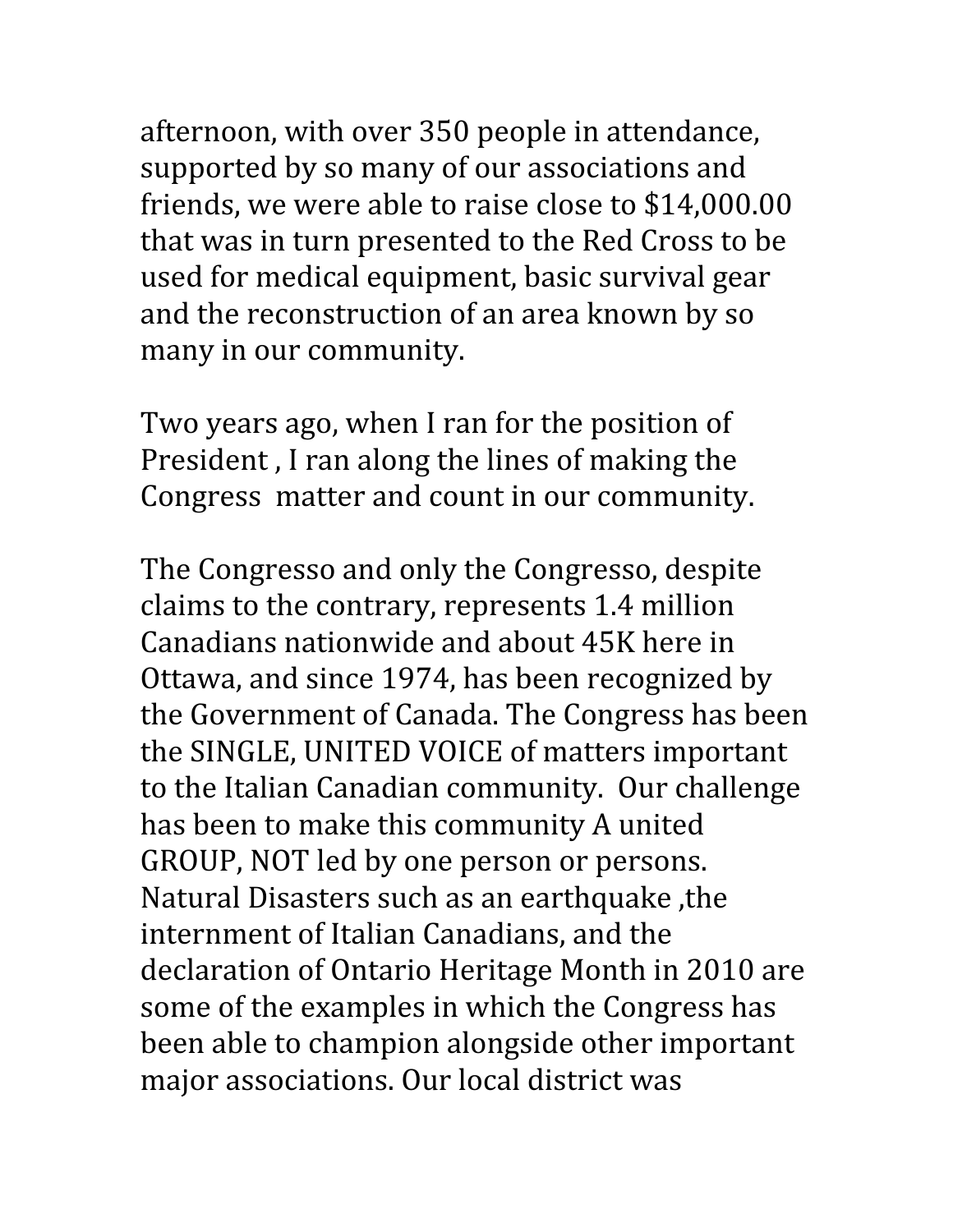afternoon, with over 350 people in attendance, supported by so many of our associations and friends, we were able to raise close to \$14,000.00 that was in turn presented to the Red Cross to be used for medical equipment, basic survival gear and the reconstruction of an area known by so many in our community.

Two years ago, when I ran for the position of President , I ran along the lines of making the Congress matter and count in our community.

The Congresso and only the Congresso, despite claims to the contrary, represents 1.4 million Canadians nationwide and about 45K here in Ottawa, and since 1974, has been recognized by the Government of Canada. The Congress has been the SINGLE, UNITED VOICE of matters important to the Italian Canadian community. Our challenge has been to make this community A united GROUP, NOT led by one person or persons. Natural Disasters such as an earthquake ,the internment of Italian Canadians, and the declaration of Ontario Heritage Month in 2010 are some of the examples in which the Congress has been able to champion alongside other important major associations. Our local district was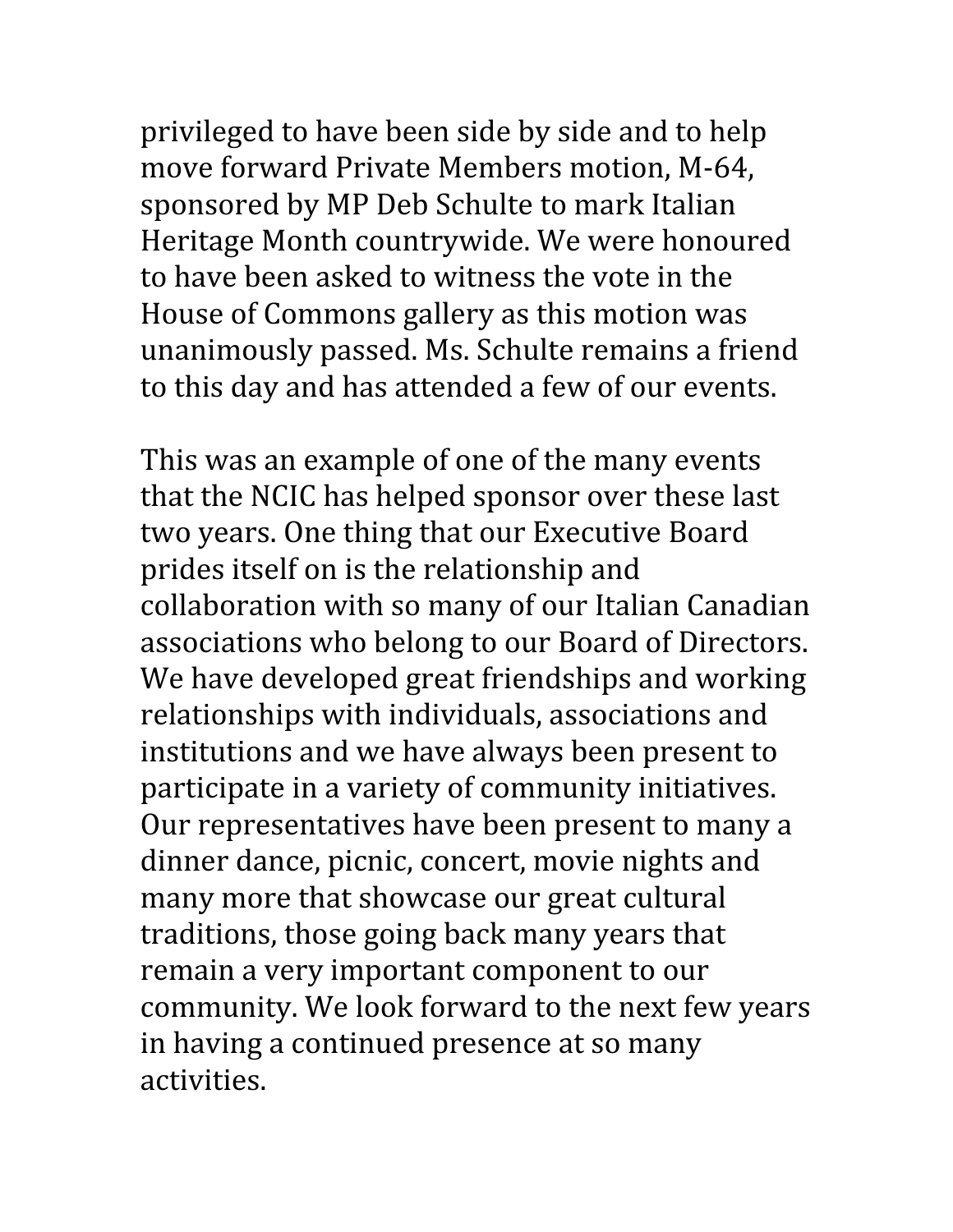privileged to have been side by side and to help move forward Private Members motion, M-64, sponsored by MP Deb Schulte to mark Italian Heritage Month countrywide. We were honoured to have been asked to witness the vote in the House of Commons gallery as this motion was unanimously passed. Ms. Schulte remains a friend to this day and has attended a few of our events.

This was an example of one of the many events that the NCIC has helped sponsor over these last two years. One thing that our Executive Board prides itself on is the relationship and collaboration with so many of our Italian Canadian associations who belong to our Board of Directors. We have developed great friendships and working relationships with individuals, associations and institutions and we have always been present to participate in a variety of community initiatives. Our representatives have been present to many a dinner dance, picnic, concert, movie nights and many more that showcase our great cultural traditions, those going back many years that remain a very important component to our community. We look forward to the next few years in having a continued presence at so many activities.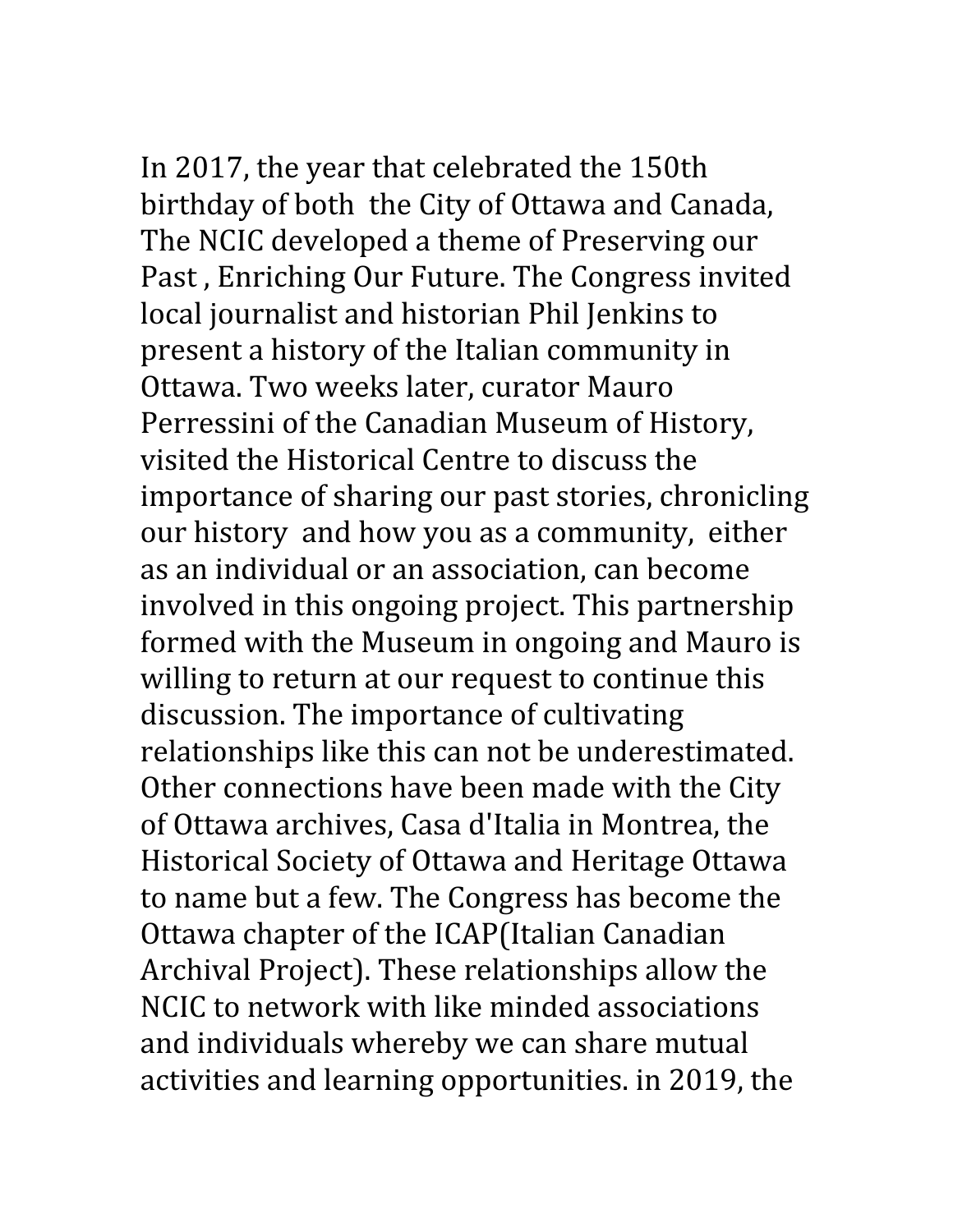In 2017, the year that celebrated the 150th birthday of both the City of Ottawa and Canada, The NCIC developed a theme of Preserving our

Past , Enriching Our Future. The Congress invited local journalist and historian Phil Jenkins to present a history of the Italian community in Ottawa. Two weeks later, curator Mauro Perressini of the Canadian Museum of History, visited the Historical Centre to discuss the importance of sharing our past stories, chronicling our history and how you as a community, either as an individual or an association, can become involved in this ongoing project. This partnership formed with the Museum in ongoing and Mauro is willing to return at our request to continue this discussion. The importance of cultivating relationships like this can not be underestimated. Other connections have been made with the City of Ottawa archives, Casa d'Italia in Montrea, the Historical Society of Ottawa and Heritage Ottawa to name but a few. The Congress has become the Ottawa chapter of the ICAP(Italian Canadian Archival Project). These relationships allow the NCIC to network with like minded associations and individuals whereby we can share mutual activities and learning opportunities. in 2019, the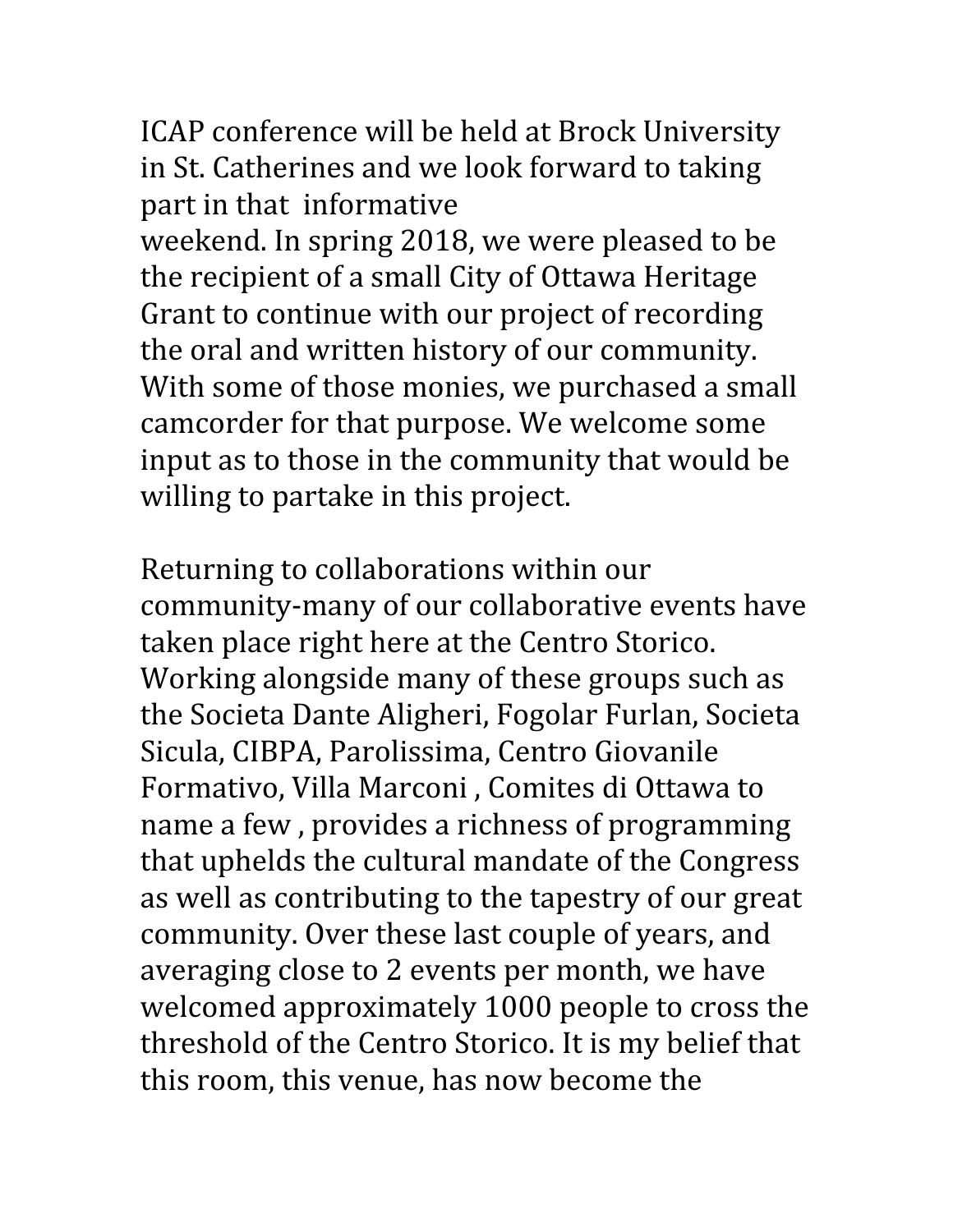ICAP conference will be held at Brock University in St. Catherines and we look forward to taking part in that informative

weekend. In spring 2018, we were pleased to be the recipient of a small City of Ottawa Heritage Grant to continue with our project of recording the oral and written history of our community. With some of those monies, we purchased a small camcorder for that purpose. We welcome some input as to those in the community that would be willing to partake in this project.

Returning to collaborations within our community-many of our collaborative events have taken place right here at the Centro Storico. Working alongside many of these groups such as the Societa Dante Aligheri, Fogolar Furlan, Societa Sicula, CIBPA, Parolissima, Centro Giovanile Formativo, Villa Marconi , Comites di Ottawa to name a few , provides a richness of programming that uphelds the cultural mandate of the Congress as well as contributing to the tapestry of our great community. Over these last couple of years, and averaging close to 2 events per month, we have welcomed approximately 1000 people to cross the threshold of the Centro Storico. It is my belief that this room, this venue, has now become the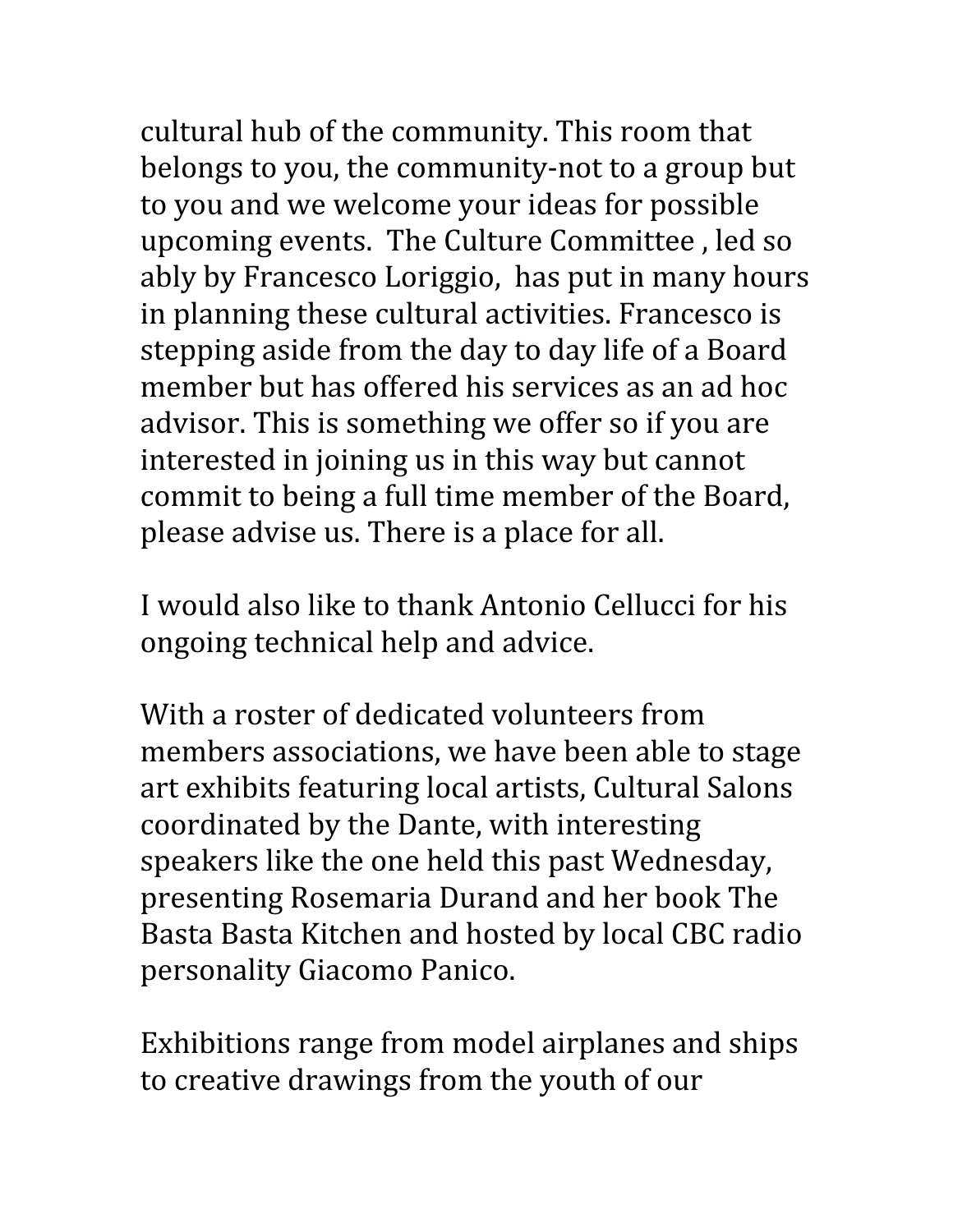cultural hub of the community. This room that belongs to you, the community-not to a group but to you and we welcome your ideas for possible upcoming events. The Culture Committee , led so ably by Francesco Loriggio, has put in many hours in planning these cultural activities. Francesco is stepping aside from the day to day life of a Board member but has offered his services as an ad hoc advisor. This is something we offer so if you are interested in joining us in this way but cannot commit to being a full time member of the Board, please advise us. There is a place for all.

I would also like to thank Antonio Cellucci for his ongoing technical help and advice.

With a roster of dedicated volunteers from members associations, we have been able to stage art exhibits featuring local artists, Cultural Salons coordinated by the Dante, with interesting speakers like the one held this past Wednesday, presenting Rosemaria Durand and her book The Basta Basta Kitchen and hosted by local CBC radio personality Giacomo Panico.

Exhibitions range from model airplanes and ships to creative drawings from the youth of our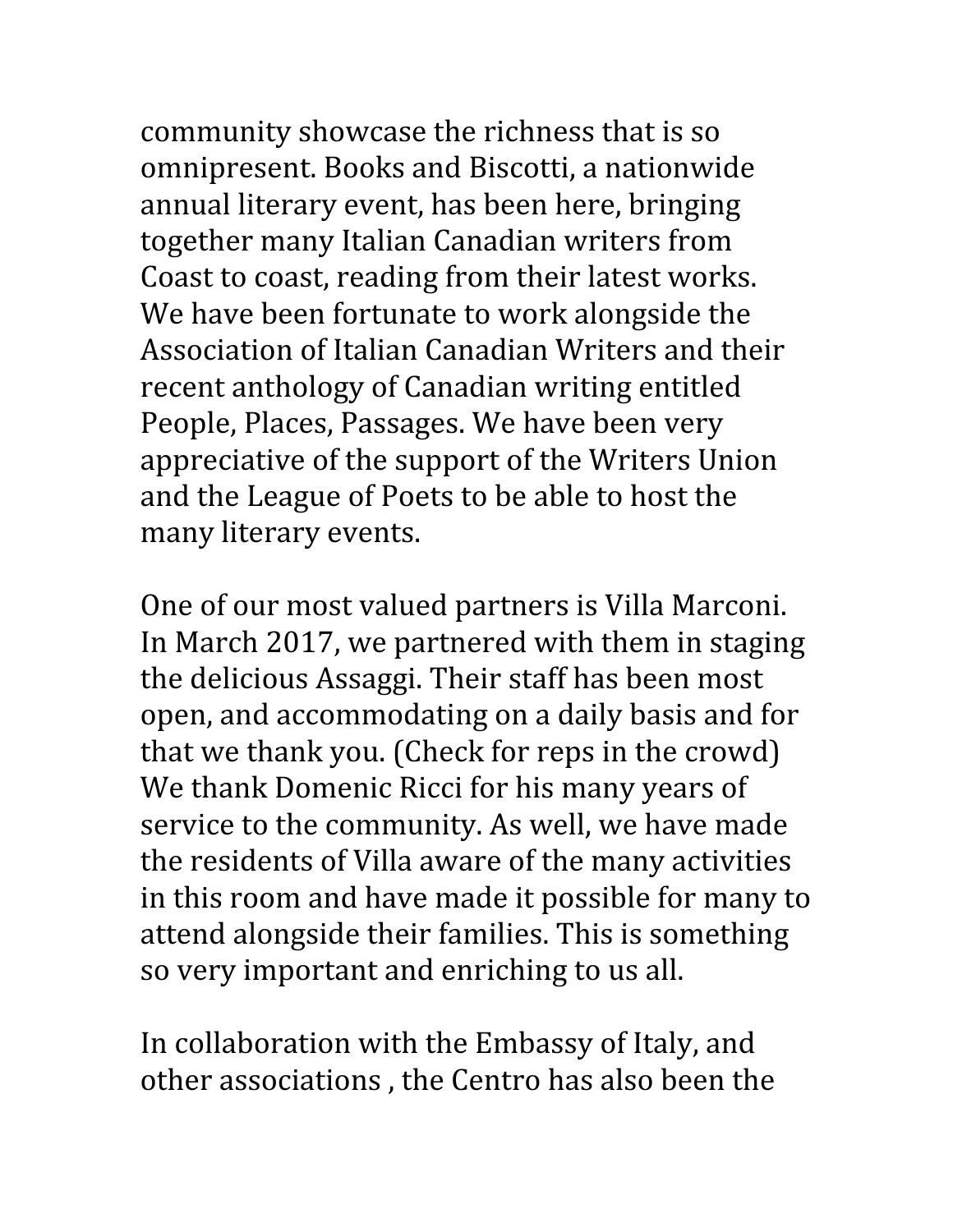community showcase the richness that is so omnipresent. Books and Biscotti, a nationwide annual literary event, has been here, bringing together many Italian Canadian writers from Coast to coast, reading from their latest works. We have been fortunate to work alongside the Association of Italian Canadian Writers and their recent anthology of Canadian writing entitled People, Places, Passages. We have been very appreciative of the support of the Writers Union and the League of Poets to be able to host the many literary events.

One of our most valued partners is Villa Marconi. In March 2017, we partnered with them in staging the delicious Assaggi. Their staff has been most open, and accommodating on a daily basis and for that we thank you. (Check for reps in the crowd) We thank Domenic Ricci for his many years of service to the community. As well, we have made the residents of Villa aware of the many activities in this room and have made it possible for many to attend alongside their families. This is something so very important and enriching to us all.

In collaboration with the Embassy of Italy, and other associations , the Centro has also been the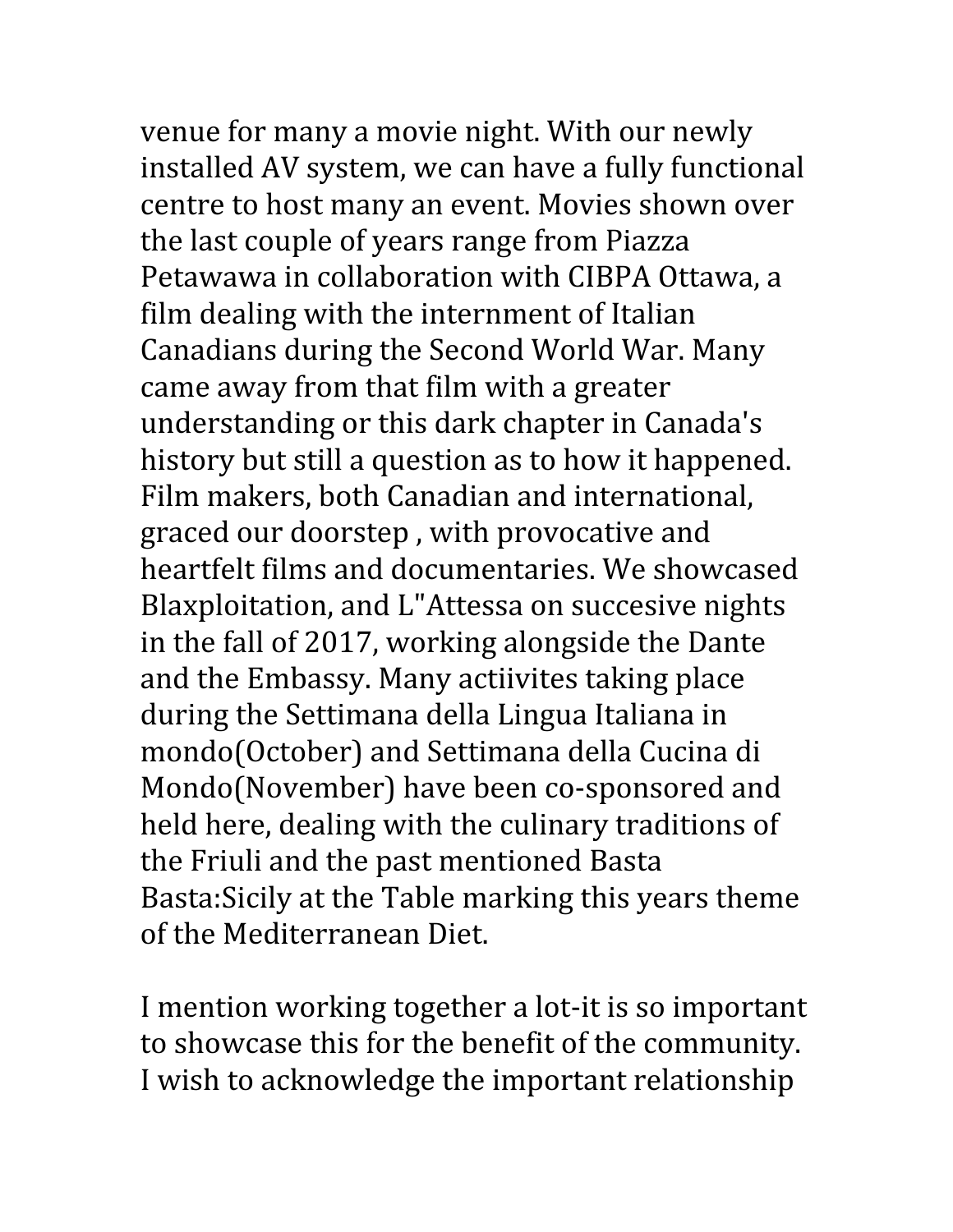venue for many a movie night. With our newly

installed AV system, we can have a fully functional centre to host many an event. Movies shown over the last couple of years range from Piazza Petawawa in collaboration with CIBPA Ottawa, a film dealing with the internment of Italian Canadians during the Second World War. Many came away from that film with a greater understanding or this dark chapter in Canada's history but still a question as to how it happened. Film makers, both Canadian and international, graced our doorstep , with provocative and heartfelt films and documentaries. We showcased Blaxploitation, and L"Attessa on succesive nights in the fall of 2017, working alongside the Dante and the Embassy. Many actiivites taking place during the Settimana della Lingua Italiana in mondo(October) and Settimana della Cucina di Mondo(November) have been co-sponsored and held here, dealing with the culinary traditions of the Friuli and the past mentioned Basta Basta:Sicily at the Table marking this years theme of the Mediterranean Diet.

I mention working together a lot-it is so important to showcase this for the benefit of the community. I wish to acknowledge the important relationship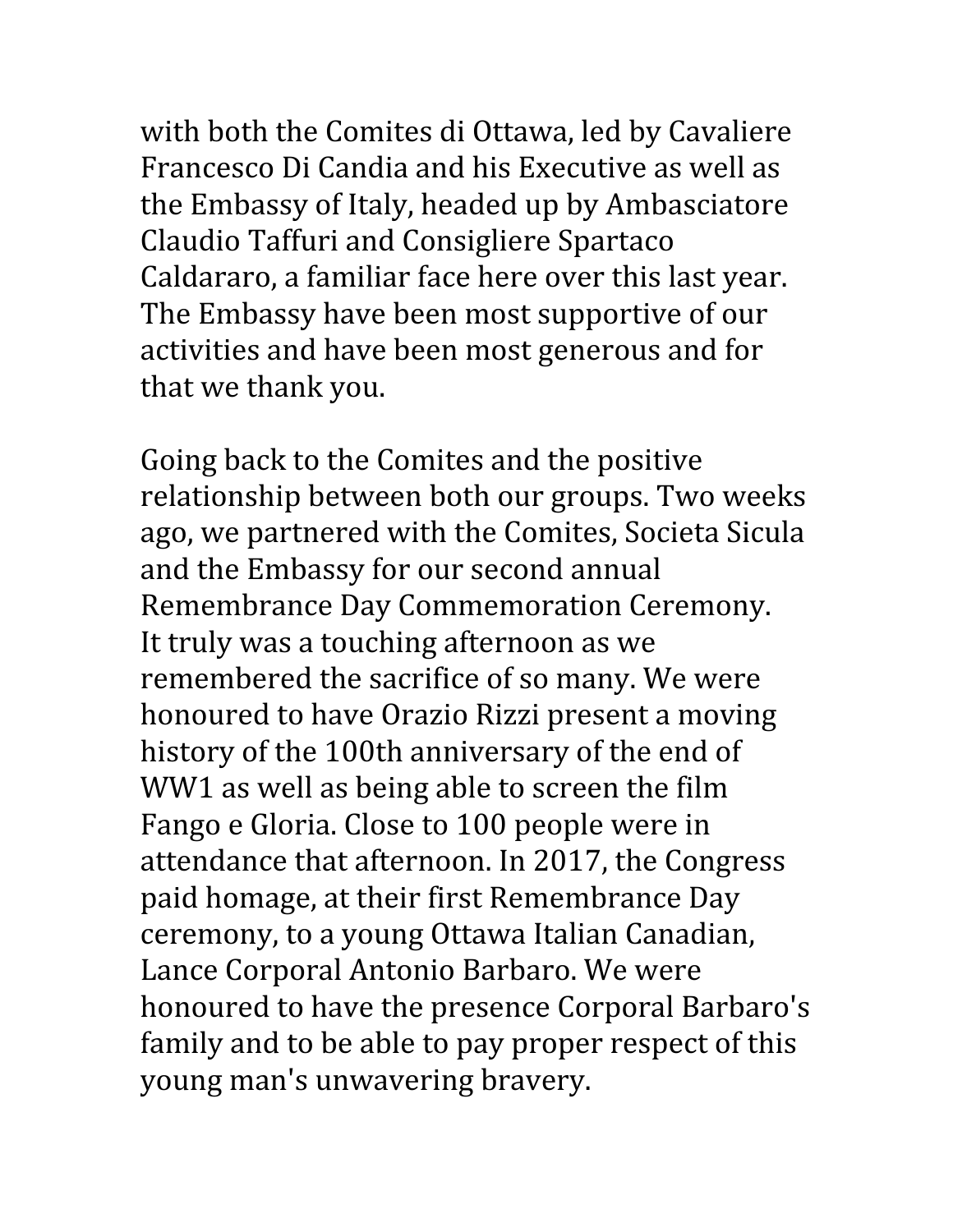with both the Comites di Ottawa, led by Cavaliere Francesco Di Candia and his Executive as well as the Embassy of Italy, headed up by Ambasciatore Claudio Taffuri and Consigliere Spartaco Caldararo, a familiar face here over this last year. The Embassy have been most supportive of our activities and have been most generous and for that we thank you.

Going back to the Comites and the positive relationship between both our groups. Two weeks ago, we partnered with the Comites, Societa Sicula and the Embassy for our second annual Remembrance Day Commemoration Ceremony. It truly was a touching afternoon as we remembered the sacrifice of so many. We were honoured to have Orazio Rizzi present a moving history of the 100th anniversary of the end of WW1 as well as being able to screen the film Fango e Gloria. Close to 100 people were in attendance that afternoon. In 2017, the Congress paid homage, at their first Remembrance Day ceremony, to a young Ottawa Italian Canadian, Lance Corporal Antonio Barbaro. We were honoured to have the presence Corporal Barbaro's family and to be able to pay proper respect of this young man's unwavering bravery.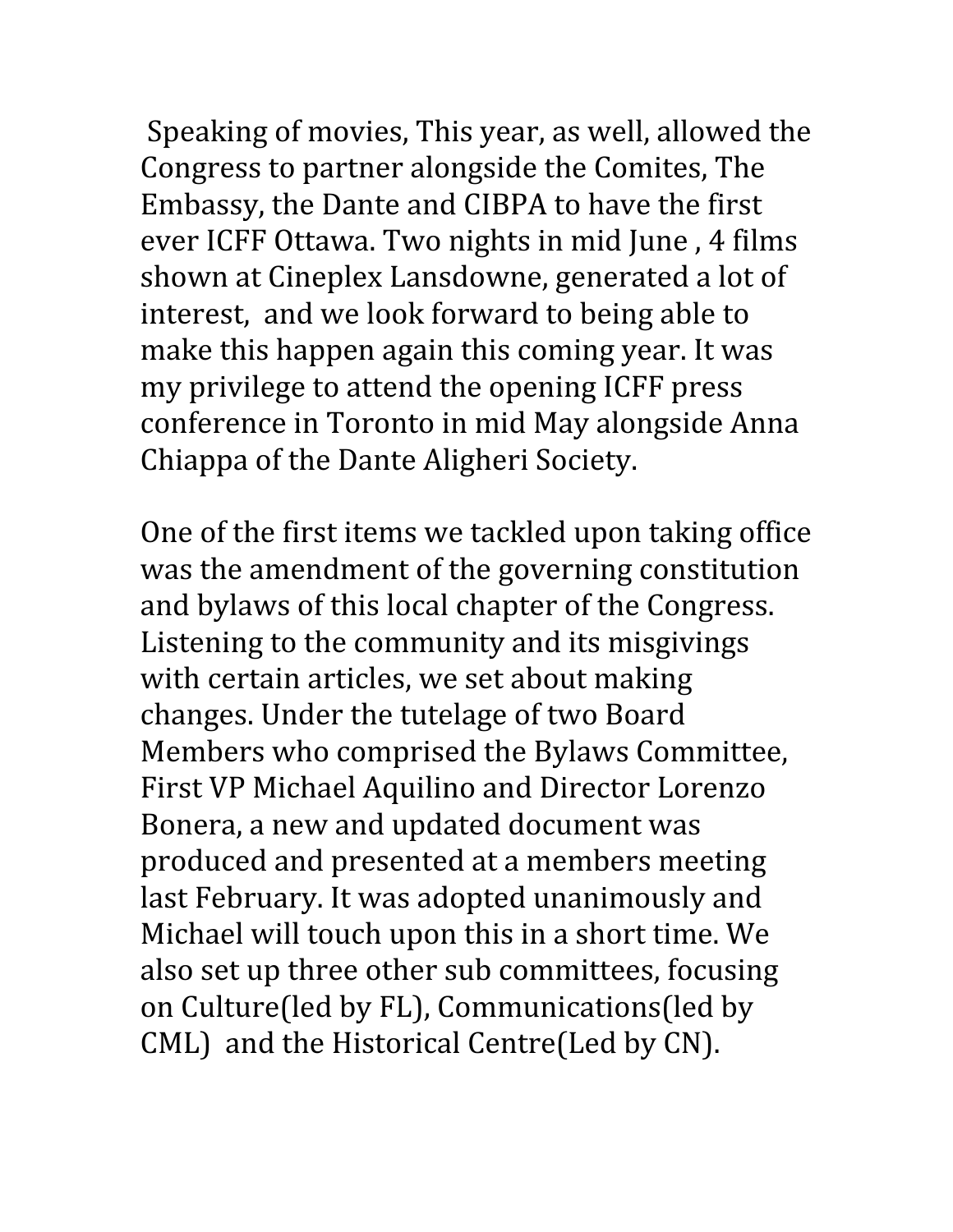Speaking of movies, This year, as well, allowed the Congress to partner alongside the Comites, The Embassy, the Dante and CIBPA to have the first ever ICFF Ottawa. Two nights in mid June , 4 films shown at Cineplex Lansdowne, generated a lot of interest, and we look forward to being able to make this happen again this coming year. It was my privilege to attend the opening ICFF press conference in Toronto in mid May alongside Anna Chiappa of the Dante Aligheri Society.

One of the first items we tackled upon taking office was the amendment of the governing constitution and bylaws of this local chapter of the Congress. Listening to the community and its misgivings with certain articles, we set about making changes. Under the tutelage of two Board Members who comprised the Bylaws Committee, First VP Michael Aquilino and Director Lorenzo Bonera, a new and updated document was produced and presented at a members meeting last February. It was adopted unanimously and Michael will touch upon this in a short time. We also set up three other sub committees, focusing on Culture(led by FL), Communications(led by CML) and the Historical Centre(Led by CN).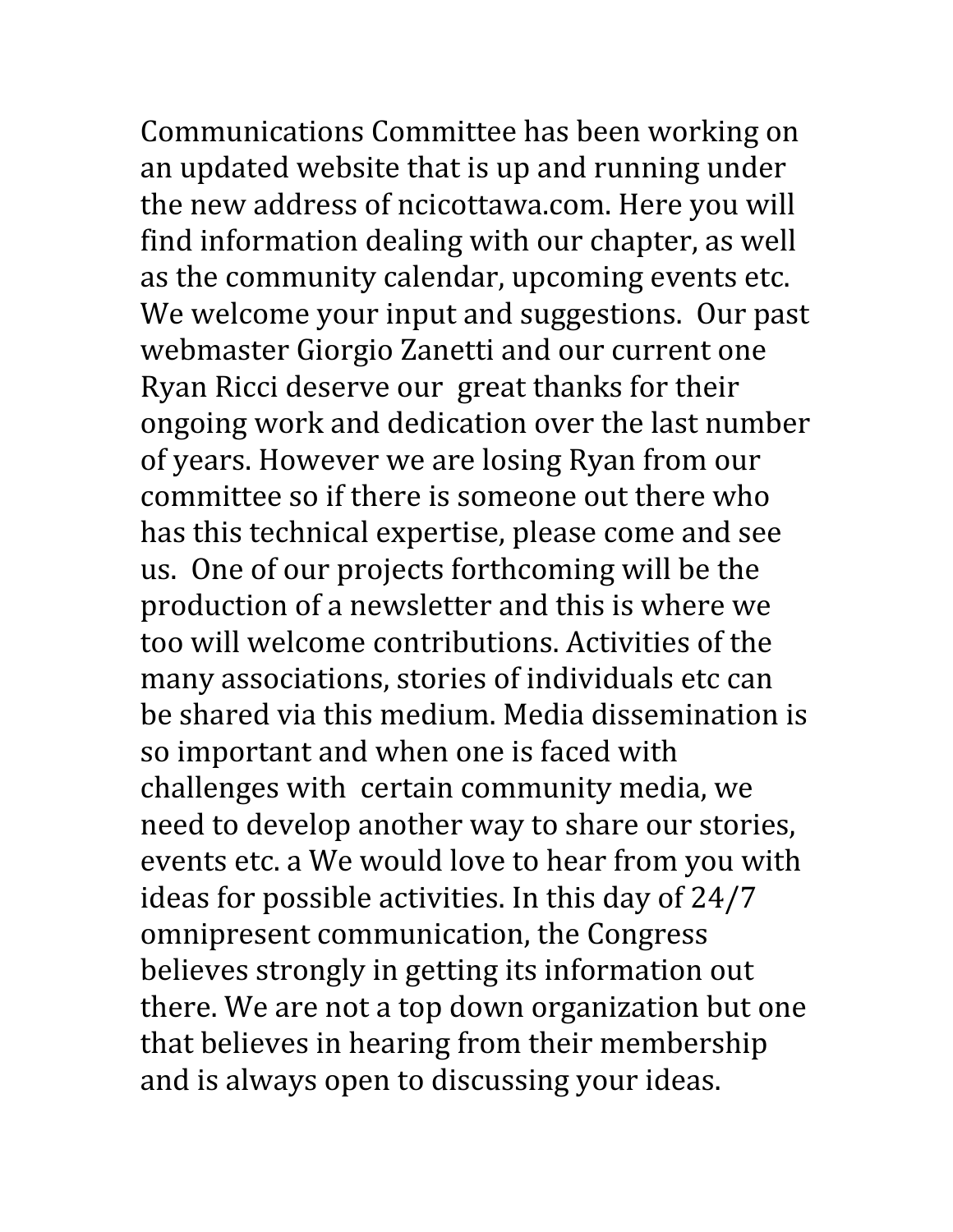Communications Committee has been working on an updated website that is up and running under the new address of ncicottawa.com. Here you will find information dealing with our chapter, as well as the community calendar, upcoming events etc. We welcome your input and suggestions. Our past webmaster Giorgio Zanetti and our current one Ryan Ricci deserve our great thanks for their ongoing work and dedication over the last number of years. However we are losing Ryan from our committee so if there is someone out there who has this technical expertise, please come and see us. One of our projects forthcoming will be the production of a newsletter and this is where we too will welcome contributions. Activities of the many associations, stories of individuals etc can be shared via this medium. Media dissemination is so important and when one is faced with challenges with certain community media, we need to develop another way to share our stories, events etc. a We would love to hear from you with ideas for possible activities. In this day of 24/7 omnipresent communication, the Congress believes strongly in getting its information out there. We are not a top down organization but one that believes in hearing from their membership and is always open to discussing your ideas.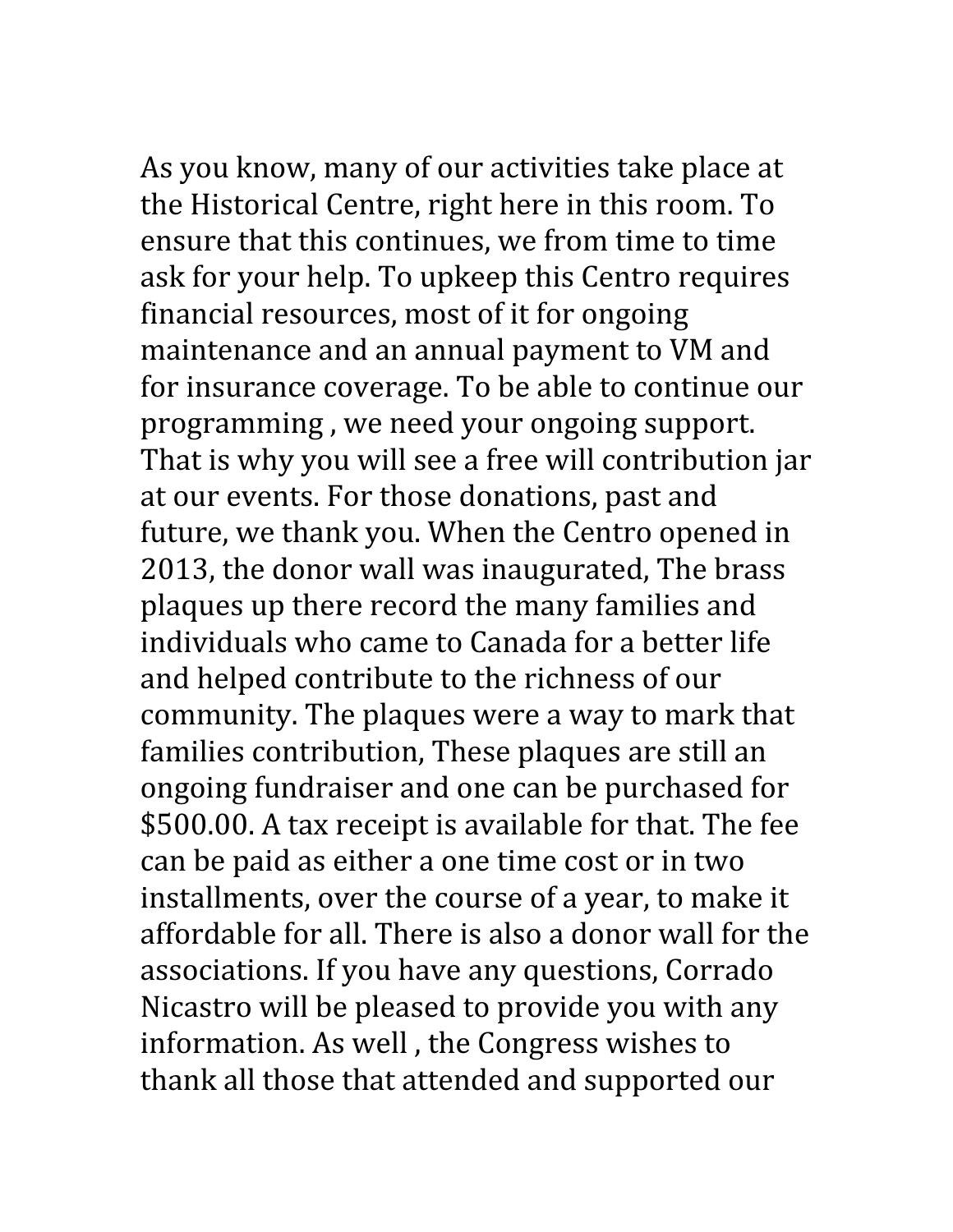As you know, many of our activities take place at the Historical Centre, right here in this room. To ensure that this continues, we from time to time ask for your help. To upkeep this Centro requires financial resources, most of it for ongoing maintenance and an annual payment to VM and for insurance coverage. To be able to continue our programming , we need your ongoing support. That is why you will see a free will contribution jar at our events. For those donations, past and future, we thank you. When the Centro opened in 2013, the donor wall was inaugurated, The brass plaques up there record the many families and individuals who came to Canada for a better life and helped contribute to the richness of our community. The plaques were a way to mark that families contribution, These plaques are still an ongoing fundraiser and one can be purchased for \$500.00. A tax receipt is available for that. The fee can be paid as either a one time cost or in two installments, over the course of a year, to make it affordable for all. There is also a donor wall for the associations. If you have any questions, Corrado Nicastro will be pleased to provide you with any information. As well , the Congress wishes to thank all those that attended and supported our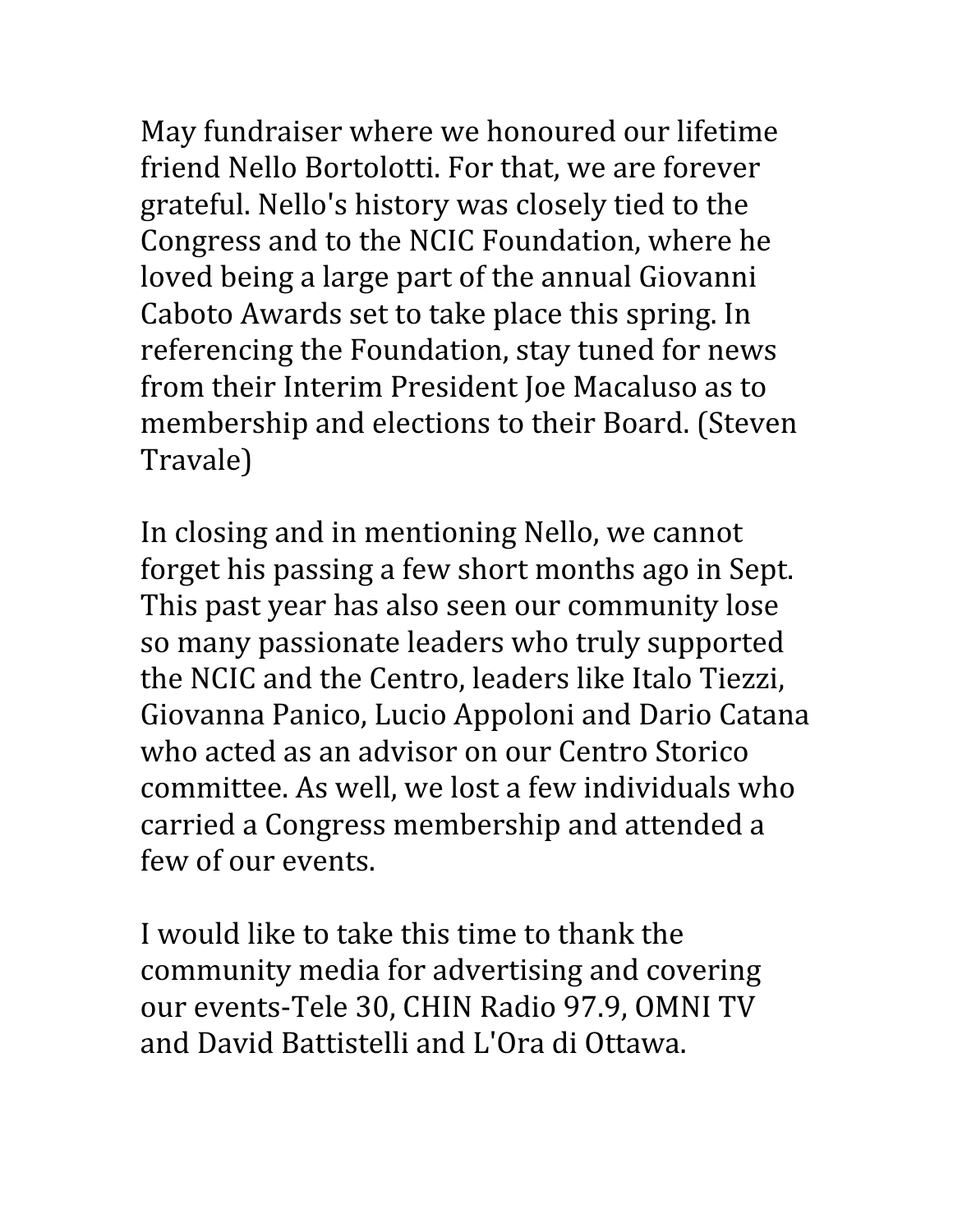May fundraiser where we honoured our lifetime friend Nello Bortolotti. For that, we are forever grateful. Nello's history was closely tied to the Congress and to the NCIC Foundation, where he loved being a large part of the annual Giovanni Caboto Awards set to take place this spring. In referencing the Foundation, stay tuned for news from their Interim President Joe Macaluso as to membership and elections to their Board. (Steven Travale)

In closing and in mentioning Nello, we cannot forget his passing a few short months ago in Sept. This past year has also seen our community lose so many passionate leaders who truly supported the NCIC and the Centro, leaders like Italo Tiezzi, Giovanna Panico, Lucio Appoloni and Dario Catana who acted as an advisor on our Centro Storico committee. As well, we lost a few individuals who carried a Congress membership and attended a few of our events.

I would like to take this time to thank the community media for advertising and covering our events-Tele 30, CHIN Radio 97.9, OMNI TV and David Battistelli and L'Ora di Ottawa.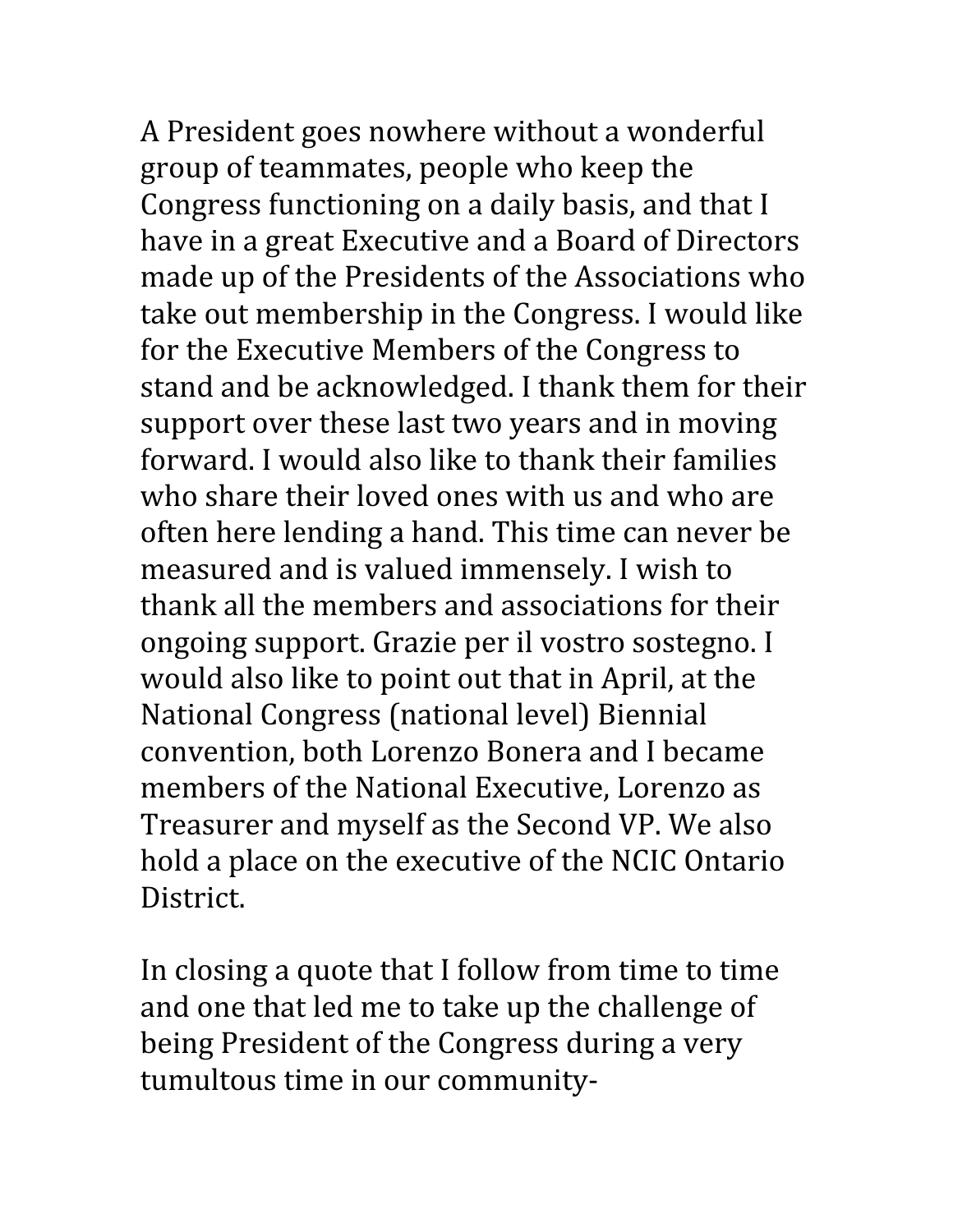A President goes nowhere without a wonderful group of teammates, people who keep the Congress functioning on a daily basis, and that I have in a great Executive and a Board of Directors made up of the Presidents of the Associations who take out membership in the Congress. I would like for the Executive Members of the Congress to stand and be acknowledged. I thank them for their support over these last two years and in moving forward. I would also like to thank their families who share their loved ones with us and who are often here lending a hand. This time can never be measured and is valued immensely. I wish to thank all the members and associations for their ongoing support. Grazie per il vostro sostegno. I would also like to point out that in April, at the National Congress (national level) Biennial convention, both Lorenzo Bonera and I became members of the National Executive, Lorenzo as Treasurer and myself as the Second VP. We also hold a place on the executive of the NCIC Ontario District.

In closing a quote that I follow from time to time and one that led me to take up the challenge of being President of the Congress during a very tumultous time in our community